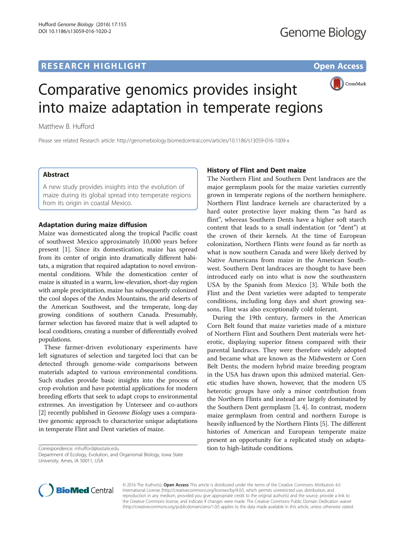# **RESEARCH HIGHLIGHT** THE OPEN ACCESS OPEN ACCESS



# Comparative genomics provides insight into maize adaptation in temperate regions

Matthew B. Hufford

Please see related Research article:<http://genomebiology.biomedcentral.com/articles/10.1186/s13059-016-1009-x>

## Abstract

A new study provides insights into the evolution of maize during its global spread into temperate regions from its origin in coastal Mexico.

# Adaptation during maize diffusion

Maize was domesticated along the tropical Pacific coast of southwest Mexico approximately 10,000 years before present [[1\]](#page-1-0). Since its domestication, maize has spread from its center of origin into dramatically different habitats, a migration that required adaptation to novel environmental conditions. While the domestication center of maize is situated in a warm, low-elevation, short-day region with ample precipitation, maize has subsequently colonized the cool slopes of the Andes Mountains, the arid deserts of the American Southwest, and the temperate, long-day growing conditions of southern Canada. Presumably, farmer selection has favored maize that is well adapted to local conditions, creating a number of differentially evolved populations.

These farmer-driven evolutionary experiments have left signatures of selection and targeted loci that can be detected through genome-wide comparisons between materials adapted to various environmental conditions. Such studies provide basic insights into the process of crop evolution and have potential applications for modern breeding efforts that seek to adapt crops to environmental extremes. An investigation by Unterseer and co-authors [[2\]](#page-1-0) recently published in *Genome Biology* uses a comparative genomic approach to characterize unique adaptations in temperate Flint and Dent varieties of maize.

Correspondence: [mhufford@iastate.edu](mailto:mhufford@iastate.edu)

# History of Flint and Dent maize

The Northern Flint and Southern Dent landraces are the major germplasm pools for the maize varieties currently grown in temperate regions of the northern hemisphere. Northern Flint landrace kernels are characterized by a hard outer protective layer making them "as hard as flint", whereas Southern Dents have a higher soft starch content that leads to a small indentation (or "dent") at the crown of their kernels. At the time of European colonization, Northern Flints were found as far north as what is now southern Canada and were likely derived by Native Americans from maize in the American Southwest. Southern Dent landraces are thought to have been introduced early on into what is now the southeastern USA by the Spanish from Mexico [\[3](#page-1-0)]. While both the Flint and the Dent varieties were adapted to temperate conditions, including long days and short growing seasons, Flint was also exceptionally cold tolerant.

During the 19th century, farmers in the American Corn Belt found that maize varieties made of a mixture of Northern Flint and Southern Dent materials were heterotic, displaying superior fitness compared with their parental landraces. They were therefore widely adopted and became what are known as the Midwestern or Corn Belt Dents; the modern hybrid maize breeding program in the USA has drawn upon this admixed material. Genetic studies have shown, however, that the modern US heterotic groups have only a minor contribution from the Northern Flints and instead are largely dominated by the Southern Dent germplasm [\[3](#page-1-0), [4](#page-1-0)]. In contrast, modern maize germplasm from central and northern Europe is heavily influenced by the Northern Flints [[5\]](#page-1-0). The different histories of American and European temperate maize present an opportunity for a replicated study on adaptation to high-latitude conditions.



© 2016 The Author(s). Open Access This article is distributed under the terms of the Creative Commons Attribution 4.0 International License [\(http://creativecommons.org/licenses/by/4.0/](http://creativecommons.org/licenses/by/4.0/)), which permits unrestricted use, distribution, and reproduction in any medium, provided you give appropriate credit to the original author(s) and the source, provide a link to the Creative Commons license, and indicate if changes were made. The Creative Commons Public Domain Dedication waiver [\(http://creativecommons.org/publicdomain/zero/1.0/](http://creativecommons.org/publicdomain/zero/1.0/)) applies to the data made available in this article, unless otherwise stated.

Department of Ecology, Evolution, and Organismal Biology, Iowa State University, Ames, IA 50011, USA